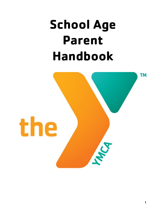# **School Age Parent Handbook**

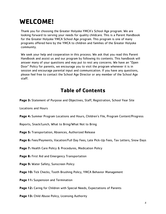# **WELCOME!**

Thank you for choosing the Greater Holyoke YMCA's School Age program. We are looking forward to serving your needs for quality childcare. This is a Parent Handbook for the Greater Holyoke YMCA School Age program. This program is one of many programs offered here by the YMCA to children and families of the Greater Holyoke community.

We seek your help and cooperation in this process. We ask that you read this Parent Handbook and assist us and our program by following its contents. This handbook will answer many of your questions and may put to rest any concerns. We have an "Open Door" Policy for parents, we encourage you to visit the program whenever it is in session and encourage parental input and communication. If you have any questions, please feel free to contact the School Age Director or any member of the School Age staff.

## **Table of Contents**

**Page 3:** Statement of Purpose and Objectives, Staff, Registration, School Year Site

Locations and Hours

**Page 4:** Summer Program Locations and Hours, Children's File, Program Content/Progress

Reports, Snack/Lunch, What to Bring/What Not to Bring

**Page 5:** Transportation, Absences, Authorized Release

**Page 6:** Fees/Payments, Vacation/Full Day Fees, Late Pick-Up Fees, Tax Letters, Snow Days

**Page 7:** Health Care Policy & Procedures, Medication Policy

**Page 8:** First Aid and Emergency Transportation

**Page 9:** Water Safety, Sunscreen Policy

**Page 10:** Tick Checks, Tooth Brushing Policy, YMCA Behavior Management

**Page 11:** Suspension and Termination

**Page 12:** Caring for Children with Special Needs, Expectations of Parents

Page 13: Child Abuse Policy, Licensing Authority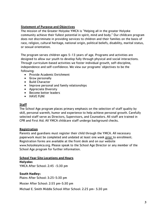#### Statement of Purpose and Objectives

The mission of the Greater Holyoke YMCA is "Helping all in the greater Holyoke community achieve their fullest potential in spirit, mind and body." Our childcare program does not discriminate in providing services to children and their families on the basis of race, religion, cultural heritage, national origin, political beliefs, disability, marital status, or sexual orientation.

The program serves children ages 5-13 years of age. Programs and activities are designed to allow our youth to develop fully through physical and social interactions. Through curriculum-based activities we foster individual growth, self-discipline, independence and self-confidence. We view our programs' objectives to be the following:

- Provide Academic Enrichment
- Grow personally
- Build Character
- Improve personal and family relationships
- Appreciate Diversity
- Become better leaders
- HAVE FUN!

#### **Staff**

The School Age program places primary emphasis on the selection of staff quality by skill, personal warmth, humor and experience to help achieve personal growth. Carefully selected staff serve as Directors, Supervisors, and Counselors. All staff are trained in CPR and First Aid. All YMCA childcare staff undergo background checks.

#### **Registration**

Parents and guardians must register their child through the YMCA. All necessary paperwork must be completed and undated at least one week prior to enrollment. Registration forms are available at the front desk and on our website www.holyokeymca.org. Please speak to the School Age Director or any member of the School Age program for further information.

#### School Year Site Locations and Hours

**Holyoke:** YMCA After School: 2:45 -5:30 pm

**South Hadley:** Plains After School: 3:25-5:30 pm Mosier After School: 2:55 pm-5:30 pm Michael E. Smith Middle School After School: 2:25 pm- 5:30 pm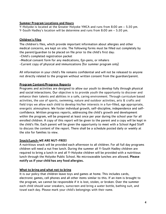#### **Summer Program Locations and Hours**

Y-Holyoke is located at the Greater Holyoke YMCA and runs from 8:00 am – 5:30 pm. Y-South Hadley's location will be determine and runs from 8:00 am – 5:30 pm.

#### Children's Files

The children's files, which provide important information about allergies and other medical concerns, are kept on site. The following forms must be filled out completely by the parent/guardian to be placed on file prior to the child's first day:

-Child's completed registration packet

- -Medical consent form for any medications, Epi-pens, or inhalers
- -Current copy of physical and immunizations (for summer program only)

All information in your child's file remains confidential and will not be released to anyone not directly related to the program without written consent from the guardian/parent.

#### Program Content/Progress Reports

Programs and activities are designed to allow our youth to develop fully through physical and social interactions. Our objective is to provide youth the opportunity to discover and enhance their talents and abilities in a safe, caring environment. Through curriculum based activities, the use of sports, swimming, nature and outdoor activities, arts & crafts and field trips we allow each child to develop his/her interests in a fun-filled, age appropriate, energetic atmosphere. We foster individual growth, self-discipline, independence and selfconfidence. Written progress reports, addressing the child's growth and development within the program, will be prepared at least once per year during the school year for all enrolled children. A copy of this report will be given to the parent and a copy will be kept in the child's file. Each parent will be given the opportunity to meet with a School Aged Staff to discuss the content of the report. There shall be a schedule posted daily or weekly at the site for families to view.

#### Snack/Lunch-WE ARE NUT-FREE!

A nutritious snack will be provided each afternoon to all children. For all full day programs children will need a nut free lunch. During the summer all Y-South Hadley children are required to bring a lunch in and all Y-Holyoke children will be provided with a nutritious lunch through the Holyoke Public School. No microwavable lunches are allowed. Please notify us if your child has any food allergies.

#### What to bring and what not to bring

It is our policy that children leave toys and games at home. This includes cards, electronic games, cell phones and all other items similar to this. If an item is brought to the program, we cannot be responsible if it is lost, stolen, or broken. Over the summer each child should wear sneakers, sunscreen and bring a water bottle, bathing suit, and towel each day. Please mark your child's belongings with their name.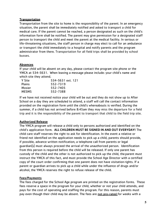#### **Transportation**

Transportation from the site to home is the responsibility of the parent. In an emergency situation, the parent shall be immediately notified and asked to transport a child for medical care. If the parent cannot be reached, a person designated as such on the child's information form shall be notified. The parent may give permission for a designated staff person to transport the child and meet the parent at the medical facility. In serious or life-threatening situations, the staff person in charge may elect to call for an ambulance or transport the child immediately to a hospital and notify parents and the program administrator from there. Transportation for all field trips shall be provided by school busses.

#### **Absences**

If your child will be absent on any day, please contact the program site phone or the YMCA at 534-5631. When leaving a message please include: your child's name and which site they attend.

| Y Site        | 534-5631 ext. 121 |
|---------------|-------------------|
| <b>Plains</b> | 552-7319          |
| Mosier        | 552-7405          |
| <b>MESMS</b>  | 552-7388          |

If we have not received notice your child will be out and they do not show up to After School on a day they are scheduled to attend, a staff will call the contact information provided on the registration form until the child's whereabouts is verified. During the summer, if a child has not arrived before 8:45am they may miss the departure for a field trip and it is the responsibility of the parent to transport that child to the field trip site.

#### Authorized Release

The YMCA program will release a child only to persons authorized and identified on the child's application form. ALL CHILDREN MUST BE SIGNED IN AND OUT EVERYDAY! The child care staff reserves the right to ask for identification. In the event a relative or friend not identified on the application needs to pick up a child, parents should provide, if possible, advance written notification; a telephone call from parents or legal guardian(s) must always proceed the arrival of the unauthorized person. Identification from this person is required before the child will be released. If only one parent has custody of the child and the other is not authorized to pick up the child, the parent must instruct the YMCA of this fact, and must provide the School Age Director with a certified copy of the court order confirming that one parent does not have visitation rights. If a parent or guardian arrives to pick up a child while under the influence of drugs and/or alcohol, the YMCA reserves the right to refuse release of the child.

#### Fees/Payments

The fees charged for the School Age program are printed on the registration forms. These fees reserve a space in the program for your child, whether or not your child attends, and pays for the cost of operating and staffing the program. For this reason, parents must pay even though their child may be absent. The fees are not pro-rated for weeks with a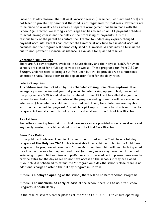Snow or Holiday closure. The full week vacation weeks (December, February and April) are not billed to private pay parents if the child is not registered for that week. Payments are to be made on a weekly basis unless a separate arrangement has been made with the School Age Director. We strongly encourage families to set up an EFT payment schedule to avoid leaving checks and the delay in the processing of payments. It is the responsibility of the parent to contact the Director to update any expired/changed payment accounts. Parents can contact the Director at any time to ask about account balances and the program will periodically send out invoices. A child may be terminated due to non-payment. Financial assistance is available for qualified families.

#### Vacation/ Full Day Fees

There are full day programs available in South Hadley and the Holyoke YMCA for when schools are closed for a full day or vacation weeks. These programs run from 7:30am-6:00pm. Children need to bring a nut free lunch but will be provided with a nutritious afternoon snack. Please refer to the registration form for the daily rates.

#### Late Pick-up fees

All children must be picked up by the scheduled closing time. No exceptions! If an emergency should arise and you find you will be late picking up your child, please call the program site/YMCA and let us know ahead of time. DCF will be called if a guardian cannot be reached after 30 minutes of the program ending. Parents will be assessed a late fee of \$1/minute per child past the scheduled closing time. Late fees are payable with the next scheduled payment. Chronic late pick-up is grounds for dismissal from the program. Action taken on this policy is at the discretion of the School Age Director.

#### **Tax Letters**

Tax letters covering fees paid for child care services are provided upon request only and any family looking for a letter should contact the Child Care Director.

#### **Snow Day Policy**

If the public schools are closed in Holyoke or South Hadley, the Y will have a full day program **at the Holyoke YMCA**. This is available to any child enrolled in the Child Care programs. The program will run from 7:30am-6:00pm. Your child will need to bring a nut free lunch and also a bathing suit and towel (optional) as we may have use of the pool for swimming. If your child requires an Epi-Pen or any other medication please make sure to provide extra for the day as we do not have access to the schools if they are closed. If your child is scheduled to attend the Y program on a day the schools close there is no additional charge to attend the full day program in Holyoke.

If there is a **delayed opening** at the school, there will be no Before School Programs.

If there is an **unscheduled early release** at the school, there will be no After School Programs in South Hadley.

In the case of severe weather please call the Y at 413-534-5631 to ensure operating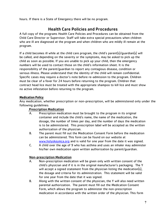hours. If there is a State of Emergency there will be no program.

### Health Care Policies and Procedures

A full copy of the programs Health Care Policies and Procedures can be obtained from the Child Care Director or Supervisor. Staff will take extra special precautions when children who are ill are diagnosed at the program and when children who are mildly ill remain at the program.

If a child becomes ill while at the child care program, the child's parent(s)/guardian(s) will be called, and depending on the severity or the symptoms, may be asked to pick up the child as soon as possible. If you are unable to pick up your child, then the emergency numbers will be used to contact those on the child's information sheet. It is the responsibility of the parent/guardian to report any contagious disease, condition or serious illness. Please understand that the identity of the child will remain confidential. Specific cases may require a doctor's note before re-admission to the program. Children must be clear of a fever for 24 hours before returning to the program. Children that contract head lice must be treated with the appropriate shampoo to kill lice and must show no active infestation before returning to the program.

#### **Medication Policy**

Any medication, whether prescription or non-prescription, will be administered only under the following guidelines:

#### Prescription Medication

- A. Prescription medication must be brought to the program in its original container and include the child's name, the name of the medication, the dosage, the number of times per day, and the number of days the medication is to be administered. This prescription label will be accepted as the written authorization of the physician.
- B. The parent must fill out the Medication Consent Form before the medication can be administered. This form can be found on our website at [www.holyokeymca.org](http://www.holyokeymca.org/) and is valid for one year from the date it was signed.
- C. A child over the age of 9 who has asthma and uses an inhaler may administer his/her own medication upon written authorization by parent/guardian.

#### Non-prescription Medication

- A. Non-prescription medication will be given only with written consent of the child's physician and if it is in the original manufacturer's packaging. The Y will accept a signed statement from the physician listing the medication(s), the dosage and criteria for its administration. This statement will be valid for one year from the date that it was signed.
- B. Along with the written consent of the physician, the Y will also need written parental authorization. The parent must fill out the Medication Consent Form, which allows the program to administer the non-prescription medication in accordance with the written order of the physician. This form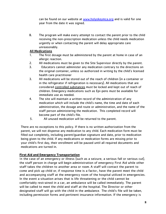can be found on our website at [www.holyokeymca.org](http://www.holyokeymca.org/) and is valid for one year from the date it was signed.

B. The program will make every attempt to contact the parent prior to the child receiving the non-prescription medication unless the child needs medication urgently or when contacting the parent will delay appropriate care unreasonably.

#### All Medications

- 1. The first dosage must be administered by the parent at home in case of an allergic reaction.
- 2. All medications must be given to the Site Supervisor directly by the parent.
- 3. Educators cannot administer any medication contrary to the directions on the original container, unless so authorized in writing by the child's licensed health care practitioner
- 3. All medications will be stored out of the reach of children (in a container or in the refrigerator if refrigeration is necessary). All medications that are considered controlled substances must be locked and kept out of reach of children. Emergency medications such as Epi-pens must be available for immediate use as needed.
- 4. The site will maintain a written record of the administration of any medication which will include the child's name, the time and date of each administration, the dosage and route or administration, and the name of the staff person administering the medication. This completed record will become part of the child's file.
- 5. All unused medication will be returned to the parent.

There are no exceptions to this policy. If there is no written authorization from the parent, we will not dispense any medication to any child. Each medication form must be filled out completely, including parent/guardian signature and date, prior to medication being given to the child. If any medications or medication forms are missing prior to your child's first day, their enrollment will be paused until all required documents and medications are turned in.

#### **First Aid and Emergency Transportation**

In the case of an emergency or illness (such as a seizure, a serious fall or serious cut), the staff person in charge will begin administration of emergency First Aid while other staff takes the children to another area or room. A staff will contact the parent to come and pick up child or, if response time is a factor, have the parent meet the child and accompanying staff at the emergency room of the hospital utilized in emergencies. In the event a situation arises that is life threatening or the child cannot be comfortably restrained in a car, an ambulance will be called immediately. The parent will be called to meet the child and staff at the hospital. The Director or other designated staff will go with the child in the ambulance. The child's file will be taken, including permission forms and pertinent insurance information. If the emergency is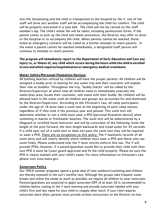non-life threatening and the child is transported to the hospital by the Y, one of the staff will drive and another staff will be accompanying the child for comfort. The child will be properly restrained in a seat belt. The child will not be carried on the staff member's lap. The child's whole file will be taken, including permissions forms. If the parent comes to pick up the child and needs assistance, the Director may offer to drive to the hospital or to accompany the child. When parents cannot be reached, those listed as emergency contacts will be called as a further attempt to reach parents. In the event a parent cannot be reached immediately, a designated staff person will continue to attempt to reach parents.

**The program will immediately report to the Department of Early Education and Care any injury to, or illness of, any child which occurs during the hours while the child is enrolled incare and which requires hospitalizationor emergency medical treatment.**

#### **Water Safety/Personal Floatation Devices**

All bathing beaches utilized by children will have the proper permits. All children will be assigned a buddy prior to leaving for any water trip and their counselor will explain their role as buddies. Throughout the trip, "buddy checks" will be called by the Director/Supervisor at which time all children need to immediately evacuate the water/play area, locate their counselor, and stand with their buddy. No children will be allowed back in the water until all children and groups are accounted for and dismissed by the Director/Supervisor. According to the Christian's Law, all camp participants under the age of 18 must take a swim test at the beginning of each camp season, regardless of if they took it the previous year and passed. This swim test will determine whether or not a child must wear a PFD (personal floatation device) when swimming in marine or freshwater beaches. The swim test will be administered by a lifeguard or certified Swim Instructor and will be consistent of the following: Swim the length of the pool forward, the next length backwards and tread water for 45 seconds. If a child opts out of a swim test or does not pass the swim test they will be required to wear a PFD. There are no exceptions to this policy. The Y maintains records of all swim tests and will clearly identify which children must wear a PFD and those who can swim freely. Please understand that the Y must strictly enforce this law. The Y will provide PFDs; however, if a parent/guardian would like to provide their child with their own PFD it must be Coast guard approved and fit the child properly. Please be sure the PFD is clearly marked with your child's name. For more information on Christian's Law please visit www.mass.gov.

#### **Sunscreen Policy**

Our YMCA summer programs spend a great deal of time outdoors/swimming and children are thereby exposed to the sun's harmful rays. Although the groups take frequent water breaks and utilize the shade as much as possible, we require all children to wear sunscreen. Parents/guardians are expected to apply sunscreen (SPF of at least 30 is recommended) to children before coming to the Y each morning and provide sunscreen labeled with your child's first and last name for your child to reapply after lunch. If your child requires sunscreen more often, parents must provide written instructions to the Director on how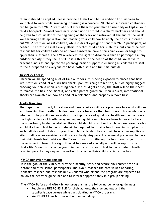often it should be applied. Please provide a t-shirt and hat in addition to sunscreen for your child to wear while swimming if burning is a concern. All labeled sunscreen containers can be given to a YMCA staff who will store them for your child to use daily or kept in your child's backpack. Aerosol containers should not be stored in a child's backpack and should be given to a counselor at the beginning of the week and retrieved at the end of the week. We encourage self-application and teaching your child how to apply their own sunscreen but YMCA staff will assist children, while in direct eyesight of another YMCA participant, as needed. The staff will make every effort to watch children for sunburns, but cannot be held responsible for children who do not have sunscreen, have a fair complexion, or forget to apply their sunscreen. The YMCA reserves the right to disallow a child to participate in any outdoor activity if they feel it will pose a threat to the health of the child. We strive to prevent sunburns and appreciate parent/guardian support in ensuring all children are sent to the Y prepared so everyone can have both a safe and fun time outside!

#### **Ticks/Tick Checks**

Children will be spending a lot of time outdoors, thus being exposed to places that ticks live. Staff will conduct a quick tick check upon returning from a trip, but we highly suggest checking your child upon returning home. If a child gets a tick, the staff will do their best to remove the tick, document it, and call a parent/guardian. Upon request, informational sheets are available on how to conduct a tick check and properly remove ticks.

#### Tooth Brushing

The Department of Early Education and Care requires child care programs to assist children with brushing their teeth if children are in care for more than four hours. This regulation is intended to help children learn about the importance of good oral health and help address the high incidence of tooth decay among young children in Massachusetts. Parents have the opportunity to decide whether their child should brush teeth while in care. Parents who would like their child to participate will be required to provide tooth brushing supplies for each half day and full day program their child attends. The staff will have extra supplies on site for all families receiving a child care subsidy. Any parent who would prefer not to have their child brush teeth while at the Y can opt-out by initialing the toothbrush sign off on the registration form. This sign off must be renewed annually and will be kept in your child's file. Should you change your mind and wish for your child to participate in tooth brushing parents may request, in writing, to change their child's registration form.

#### YMCA Behavior Management

It is the goal of the YMCA to provide a healthy, safe, and secure environment for our before and after school participants. The YMCA teaches the core values of caring, honesty, respect, and responsibility. Children who attend the program are expected to follow the behavior guidelines and to interact appropriately in a group setting.

The YMCA Before and After-School program has the following behavior guidelines:

- People are RESPONSIBLE for their actions, their belongings and the supplies/space we use while participating in YMCA programs.
- We RESPECT each other and our surroundings.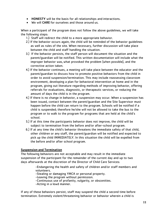- HONESTY will be the basis for all relationships and interactions.
- We will CARE for ourselves and those around us.

When a participant of the program does not follow the above guidelines, we will take the following steps:

- 1.) Staff will redirect the child to a more appropriate behavior.
- 2.) If the behavior occurs again, the child will be reminded of the behavior guidelines as well as rules of the site. When necessary, further discussion will take place between the child and staff handling the situation.
- 3.) If the behavior persists, the staff person will document the situation and the parent/guardian will be notified. This written documentation will include what the improper behavior was,what provoked the problem (when possible), and the corrective action taken.
- 4.) If the behavior continues, a meeting will take place between the educator and the parent/guardian to discuss how to promote positive behaviors from the child in order to avoid suspension/termination. This may include reassessing classroom environment, developing a plan for behavioral intervention at home and in the program, giving out literature regarding methods of improving behavior, offering referrals for evaluations, diagnostic, or therapeutic services, or reducing the amount of days the child is in the program.
- 4.) If there is no change in behavior, a suspension may occur. When a suspension has been issued, contact between the parent/guardian and the Site Supervisor must happen before the child can return to the program. Schools will be notified if a child is suspended; therefore he/she will not be allowed to take the bus to the program or to walk to the program for programs that are held at the child's school.
- 5.) If at this time the participants behavior does not improve, the child will be subject to termination from the before and/or after-school program.
- 6.) If at any time the child's behavior threatens the immediate safety of that child, other children or any staff, the parent/guardian will be notified and expected to pick up the child IMMEDIATELY. In this situation the child will be expelled from the before and/or after school program.

#### Suspension and Termination

The following behaviors are not acceptable and may result in the immediate suspension of the participant for the remainder of the current day and up to two days afterwards at the discretion of the Director of Child Care Services:

> -Endangering the health and safety of children and/or staff members and volunteers.

-Stealing or damaging YMCA or personal property.

-Leaving the program without permission.

-Continuous use of profanity, vulgarity, or obscenities.

-Acting in a lewd manner.

If any of these behaviors persist, staff may suspend the child a second time before termination. Extremely violent/threatening behavior or behavior wherein a child is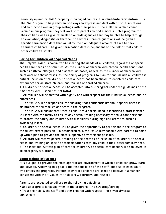seriously injured or YMCA property is damaged can result in immediate termination. It is the YMCA's goal to help children find ways to express and deal with difficult situations and to function well in group settings with their peers. If the staff feel a child cannot remain in our program, they will work with parents to find a more suitable program for their child as well as give referrals to outside agencies that may be able to help through an evaluation, diagnostic or therapeutic services. Parents/guardians will be given a specific termination date that will allow them an adequate amount of time to seek alternate child care. The given termination date is dependent on the risk of that child to other children's safety.

#### **Caring for Children with Special Needs**

The Holyoke YMCA is committed to meeting the needs of all children, regardless of special health care needs or disabilities. As the number of children with chronic health conditions such as asthma, allergies, and diabetes increases, as well as the number of children with emotional or behavioral issues, the ability of programs to plan for and include all children is critical. Inclusion of children with special needs has been shown to enrich the child care experience for all staff, children and families of enrolled children.

1. Children with special needs will be accepted into our program under the guidelines of the Americans with Disabilities Act (ADA).

2. All families will be treated with dignity and with respect for their individual needs and/or differences.

3. The YMCA will be responsible for ensuring that confidentiality about special needs is maintained for all families and staff in the program.

4. The YMCA will ensure that when a child with a special need is identified a staff member will meet with the family to ensure any special training necessary for child care personnel to protect the safety and children with disabilities during high risk activities such as swimming is met.

5. Children with special needs will be given the opportunity to participate in the program to the fullest extent possible. To accomplish this, the YMCA may consult with parents to come up with a plan to provide the most supportive environment possible.

6. All staff will receive general training on the benefits of inclusion of children with special needs and training on specific accommodations that any child in their classroom may need. 7. The individual written plan of care for children with special care needs will be followed in all emergency situations.

#### **Expectations of Parents**

It is our goal to provide the most appropriate environment in which a child can grow, learn and develop. Achieving this goal is the responsibility of the staff, but also of each adult who enters the programs. Parents of enrolled children are asked to behave in a manner consistent with the Y values; with decency, courtesy, and respect.

Parents are expected to adhere to the following guidelines:

• Use appropriate language when in the programs - no swearing/cursing

• Treat their child, the staff and other children with respect – no physical/verbal punishment